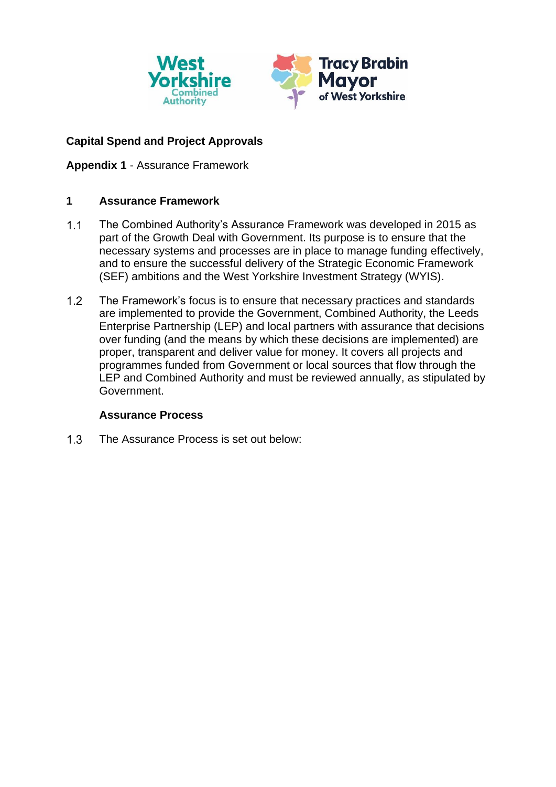

# **Capital Spend and Project Approvals**

**Appendix 1** - Assurance Framework

## **1 Assurance Framework**

- $1.1$ The Combined Authority's Assurance Framework was developed in 2015 as part of the Growth Deal with Government. Its purpose is to ensure that the necessary systems and processes are in place to manage funding effectively, and to ensure the successful delivery of the Strategic Economic Framework (SEF) ambitions and the West Yorkshire Investment Strategy (WYIS).
- $1.2$ The Framework's focus is to ensure that necessary practices and standards are implemented to provide the Government, Combined Authority, the Leeds Enterprise Partnership (LEP) and local partners with assurance that decisions over funding (and the means by which these decisions are implemented) are proper, transparent and deliver value for money. It covers all projects and programmes funded from Government or local sources that flow through the LEP and Combined Authority and must be reviewed annually, as stipulated by Government.

### **Assurance Process**

 $1.3$ The Assurance Process is set out below: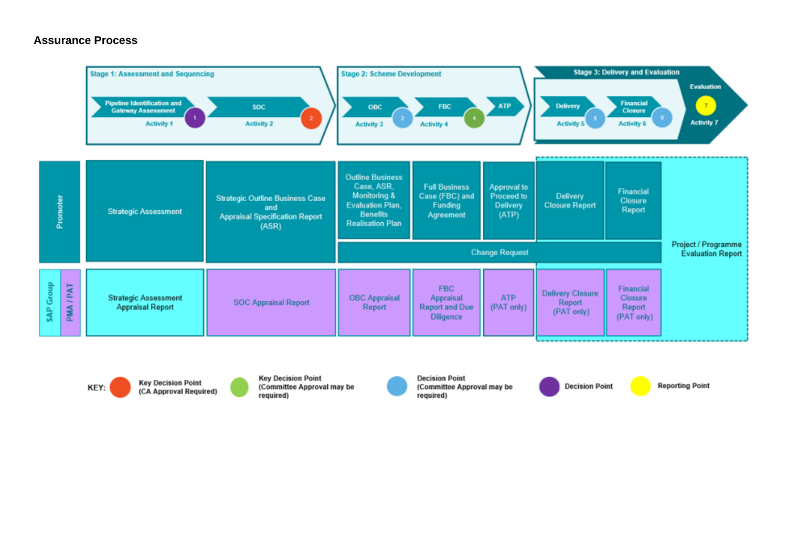#### **Assurance Process**



**Key Decision Point** KEY: (CA Approval Required)

**Key Decision Point** (Committee Approval may be required)

**Decision Point** (Committee Approval may be required)

**Decision Point** 

**Reporting Point**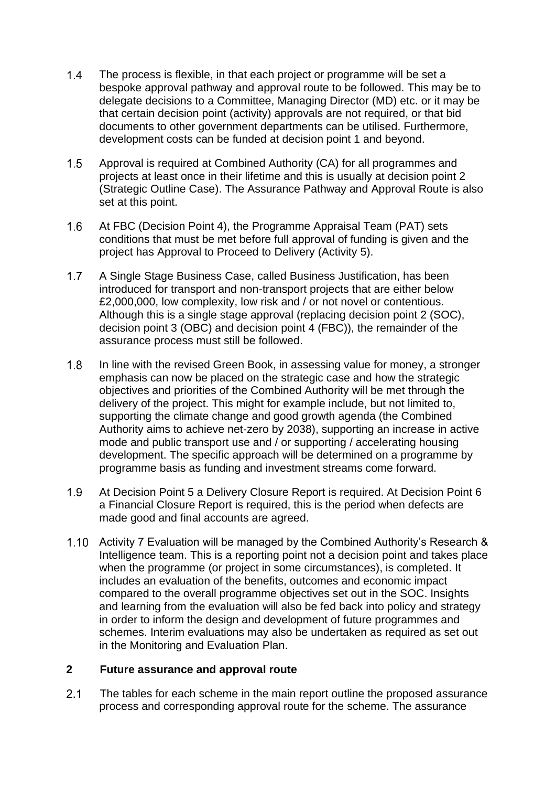- $1.4$ The process is flexible, in that each project or programme will be set a bespoke approval pathway and approval route to be followed. This may be to delegate decisions to a Committee, Managing Director (MD) etc. or it may be that certain decision point (activity) approvals are not required, or that bid documents to other government departments can be utilised. Furthermore, development costs can be funded at decision point 1 and beyond.
- $1.5$ Approval is required at Combined Authority (CA) for all programmes and projects at least once in their lifetime and this is usually at decision point 2 (Strategic Outline Case). The Assurance Pathway and Approval Route is also set at this point.
- $1.6$ At FBC (Decision Point 4), the Programme Appraisal Team (PAT) sets conditions that must be met before full approval of funding is given and the project has Approval to Proceed to Delivery (Activity 5).
- $1.7$ A Single Stage Business Case, called Business Justification, has been introduced for transport and non-transport projects that are either below £2,000,000, low complexity, low risk and / or not novel or contentious. Although this is a single stage approval (replacing decision point 2 (SOC), decision point 3 (OBC) and decision point 4 (FBC)), the remainder of the assurance process must still be followed.
- $1.8$ In line with the revised Green Book, in assessing value for money, a stronger emphasis can now be placed on the strategic case and how the strategic objectives and priorities of the Combined Authority will be met through the delivery of the project. This might for example include, but not limited to, supporting the climate change and good growth agenda (the Combined Authority aims to achieve net-zero by 2038), supporting an increase in active mode and public transport use and / or supporting / accelerating housing development. The specific approach will be determined on a programme by programme basis as funding and investment streams come forward.
- 1.9 At Decision Point 5 a Delivery Closure Report is required. At Decision Point 6 a Financial Closure Report is required, this is the period when defects are made good and final accounts are agreed.
- 1.10 Activity 7 Evaluation will be managed by the Combined Authority's Research & Intelligence team. This is a reporting point not a decision point and takes place when the programme (or project in some circumstances), is completed. It includes an evaluation of the benefits, outcomes and economic impact compared to the overall programme objectives set out in the SOC. Insights and learning from the evaluation will also be fed back into policy and strategy in order to inform the design and development of future programmes and schemes. Interim evaluations may also be undertaken as required as set out in the Monitoring and Evaluation Plan.

### **2 Future assurance and approval route**

 $2.1$ The tables for each scheme in the main report outline the proposed assurance process and corresponding approval route for the scheme. The assurance